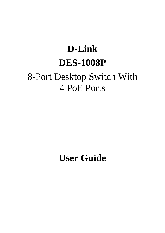# **D-Link DES-1008P** 8-Port Desktop Switch With 4 PoE Ports

**User Guide**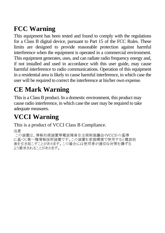## **FCC Warning**

This equipment has been tested and found to comply with the regulations for a Class B digital device, pursuant to Part 15 of the FCC Rules. These limits are designed to provide reasonable protection against harmful interference when the equipment is operated in a commercial environment. This equipment generates, uses, and can radiate radio frequency energy and, if not installed and used in accordance with this user guide, may cause harmful interference to radio communications. Operation of this equipment in a residential area is likely to cause harmful interference, in which case the user will be required to correct the interference at his/her own expense.

## **CE Mark Warning**

This is a Class B product. In a domestic environment, this product may cause radio interference, in which case the user may be required to take adequate measures.

## **VCCI Warning**

This is a product of VCCI Class B Compliance.

注意

この装置は、情報処理装置等電波障害自主規制協議会(VCCI)の基準 に基づく第一種情報技術装置です。この装置を家庭環境で使用すると電波妨 害を引き起こすことがあります。この場合には使用者が適切な対策を講ずる よう要求されることがあります。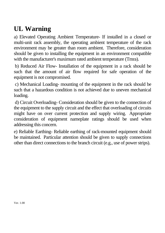## **UL Warning**

a) Elevated Operating Ambient Temperature- If installed in a closed or multi-unit rack assembly, the operating ambient temperature of the rack environment may be greater than room ambient. Therefore, consideration should be given to installing the equipment in an environment compatible with the manufacturer's maximum rated ambient temperature (Tmra).

 b) Reduced Air Flow- Installation of the equipment in a rack should be such that the amount of air flow required for safe operation of the equipment is not compromised.

 c) Mechanical Loading- mounting of the equipment in the rack should be such that a hazardous condition is not achieved due to uneven mechanical loading.

 d) Circuit Overloading- Consideration should be given to the connection of the equipment to the supply circuit and the effect that overloading of circuits might have on over current protection and supply wiring. Appropriate consideration of equipment nameplate ratings should be used when addressing this concern.

e) Reliable Earthing- Reliable earthing of rack-mounted equipment should be maintained. Particular attention should be given to supply connections other than direct connections to the branch circuit (e.g., use of power strips).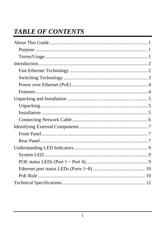## **TABLE OF CONTENTS**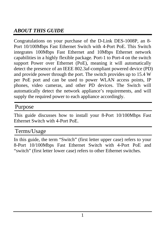## *ABOUT THIS GUIDE*

Congratulations on your purchase of the D-Link DES-1008P, an 8- Port 10/100Mbps Fast Ethernet Switch with 4-Port PoE. This Switch integrates 100Mbps Fast Ethernet and 10Mbps Ethernet network capabilities in a highly flexible package. Port-1 to Port-4 on the switch support Power over Ethernet (PoE), meaning it will automatically detect the presence of an IEEE 802.3af-compliant powered device (PD) and provide power through the port. The switch provides up to 15.4 W per PoE port and can be used to power WLAN access points, IP phones, video cameras, and other PD devices. The Switch will automatically detect the network appliance's requirements, and will supply the required power to each appliance accordingly.

#### Purpose

This guide discusses how to install your 8-Port 10/100Mbps Fast Ethernet Switch with 4-Port PoE.

#### Terms/Usage

In this guide, the term "Switch" (first letter upper case) refers to your 8-Port 10/100Mbps Fast Ethernet Switch with 4-Port PoE and "switch" (first letter lower case) refers to other Ethernet switches.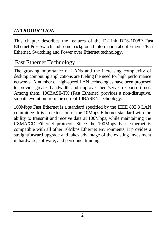## *INTRODUCTION*

This chapter describes the features of the D-Link DES-1008P Fast Ethernet PoE Switch and some background information about Ethernet/Fast Ethernet, Switching and Power over Ethernet technology.

#### Fast Ethernet Technology

The growing importance of LANs and the increasing complexity of desktop computing applications are fueling the need for high performance networks. A number of high-speed LAN technologies have been proposed to provide greater bandwidth and improve client/server response times. Among them, 100BASE-TX (Fast Ethernet) provides a non-disruptive, smooth evolution from the current 10BASE-T technology.

100Mbps Fast Ethernet is a standard specified by the IEEE 802.3 LAN committee. It is an extension of the 10Mbps Ethernet standard with the ability to transmit and receive data at 100Mbps, while maintaining the CSMA/CD Ethernet protocol. Since the 100Mbps Fast Ethernet is compatible with all other 10Mbps Ethernet environments, it provides a straightforward upgrade and takes advantage of the existing investment in hardware, software, and personnel training.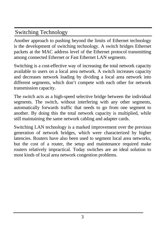## Switching Technology

Another approach to pushing beyond the limits of Ethernet technology is the development of switching technology. A switch bridges Ethernet packets at the MAC address level of the Ethernet protocol transmitting among connected Ethernet or Fast Ethernet LAN segments.

Switching is a cost-effective way of increasing the total network capacity available to users on a local area network. A switch increases capacity and decreases network loading by dividing a local area network into different segments, which don't compete with each other for network transmission capacity.

The switch acts as a high-speed selective bridge between the individual segments. The switch, without interfering with any other segments, automatically forwards traffic that needs to go from one segment to another. By doing this the total network capacity is multiplied, while still maintaining the same network cabling and adapter cards.

Switching LAN technology is a marked improvement over the previous generation of network bridges, which were characterized by higher latencies. Routers have also been used to segment local area networks, but the cost of a router, the setup and maintenance required make routers relatively impractical. Today switches are an ideal solution to most kinds of local area network congestion problems.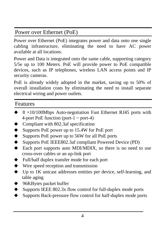Power over Ethernet (PoE)

Power over Ethernet (PoE) integrates power and data onto one single cabling infrastructure, eliminating the need to have AC power available at all locations.

Power and Data is integrated onto the same cable, supporting category 5/5e up to 100 Meters. PoE will provide power to PoE compatible devices, such as IP telephones, wireless LAN access points and IP security cameras.

PoE is already widely adopted in the market, saving up to 50% of overall installation costs by eliminating the need to install separate electrical wiring and power outlets.

#### Features

- 8 ×10/100Mbps Auto-negotiation Fast Ethernet RJ45 ports with 4-port PoE function (port- $1 \sim$  port-4)
- Compliant with 802.3af specification
- Supports PoE power up to 15.4W for PoE port
- Supports PoE power up to 56W for all PoE ports
- Supports PoE IEEE802.3af compliant Powered Device (PD)
- Each port supports auto MDI/MDIX, so there is no need to use cross-over cables or an up-link port
- Full/half duplex transfer mode for each port
- Wire speed reception and transmission
- Up to 1K unicast addresses entities per device, self-learning, and table aging
- 96KBytes packet buffer
- Supports IEEE 802.3x flow control for full-duplex mode ports
- Supports Back-pressure flow control for half-duplex mode ports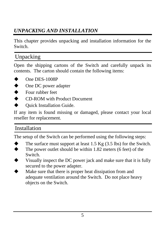## *UNPACKING AND INSTALLATION*

This chapter provides unpacking and installation information for the Switch.

## Unpacking

Open the shipping cartons of the Switch and carefully unpack its contents. The carton should contain the following items:

- One DES-1008P
- One DC power adapter
- Four rubber feet
- CD-ROM with Product Document
- Quick Installation Guide.

If any item is found missing or damaged, please contact your local reseller for replacement.

### Installation

The setup of the Switch can be performed using the following steps:

- The surface must support at least 1.5 Kg (3.5 lbs) for the Switch.
- The power outlet should be within 1.82 meters (6 feet) of the Switch.
- Visually inspect the DC power jack and make sure that it is fully secured to the power adapter.
- Make sure that there is proper heat dissipation from and adequate ventilation around the Switch. Do not place heavy objects on the Switch.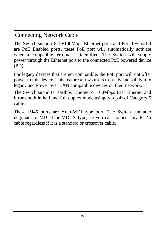## Connecting Network Cable

The Switch support 8 10/100Mbps Ethernet ports and Port  $1 \sim$  port 4 are PoE Enabled ports, these PoE port will automatically activate when a compatible terminal is identified. The Switch will supply power through the Ethernet port to the connected PoE powered device (PD).

For legacy devices that are not compatible, the PoE port will not offer power to this device. This feature allows users to freely and safely mix legacy and Power over LAN compatible devices on their network.

The Switch supports 10Mbps Ethernet or 100Mbps Fast Ethernet and it runs both in half and full duplex mode using two pair of Category 5 cable.

These RJ45 ports are Auto-MDI type port. The Switch can auto negotiate to MDI-II or MDI-X type, so you can connect any RJ-45 cable regardless if it is a standard or crossover cable.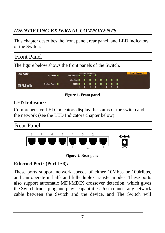## *IDENTIFYING EXTERNAL COMPONENTS*

This chapter describes the front panel, rear panel, and LED indicators of the Switch.

## Front Panel

The figure below shows the front panels of the Switch.



**Figure 1. Front panel** 

#### **LED Indicator:**

Comprehensive LED indicators display the status of the switch and the network (see the LED Indicators chapter below).

#### Rear Panel



**Figure 2. Rear panel** 

#### **Ethernet Ports (Port 1~8):**

These ports support network speeds of either 10Mbps or 100Mbps, and can operate in half- and full- duplex transfer modes. These ports also support automatic MDI/MDIX crossover detection, which gives the Switch true, "plug and play" capabilities. Just connect any network cable between the Switch and the device, and The Switch will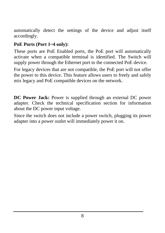automatically detect the settings of the device and adjust itself accordingly.

#### **PoE Ports (Port 1~4 only):**

These ports are PoE Enabled ports, the PoE port will automatically activate when a compatible terminal is identified. The Switch will supply power through the Ethernet port to the connected PoE device.

For legacy devices that are not compatible, the PoE port will not offer the power to this device. This feature allows users to freely and safely mix legacy and PoE compatible devices on the network.

**DC Power Jack:** Power is supplied through an external DC power adapter. Check the technical specification section for information about the DC power input voltage.

Since the switch does not include a power switch, plugging its power adapter into a power outlet will immediately power it on.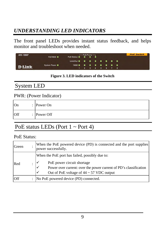## *UNDERSTANDING LED INDICATORS*

The front panel LEDs provides instant status feedback, and helps monitor and troubleshoot when needed.

| DES-1008P     | $\begin{array}{c}\n\text{PoE Ports}\n\hline\n\text{PoE Status}\n\end{array}$ |                          |  |  |  |  |                 | <b>PoE Switch</b> |  |
|---------------|------------------------------------------------------------------------------|--------------------------|--|--|--|--|-----------------|-------------------|--|
|               | PoE MAX                                                                      |                          |  |  |  |  |                 |                   |  |
|               |                                                                              | Link/Act ■ ■ ■ ■ ■ ■ ■ ■ |  |  |  |  |                 |                   |  |
| <b>D-Link</b> | <b>System Power</b> ■                                                        |                          |  |  |  |  |                 |                   |  |
|               |                                                                              |                          |  |  |  |  | 1 2 3 4 5 6 7 8 |                   |  |

**Figure 3. LED indicators of the Switch** 

## System LED

#### PWR: (Power Indicator)

| On<br>$\cdot$ | Power On               |
|---------------|------------------------|
| Off           | $\therefore$ Power Off |

#### PoE status LEDs (Port  $1 \sim$  Port 4)

#### PoE Status:

| Green      |                      | When the PoE powered device (PD) is connected and the port supplies<br>power successfully.                                                                                                                                         |
|------------|----------------------|------------------------------------------------------------------------------------------------------------------------------------------------------------------------------------------------------------------------------------|
| Red        |                      | When the PoE port has failed, possibly due to:<br>PoE power circuit shortage<br>Power over current: over the power current of PD's classification<br>$\checkmark$<br>Out of PoE voltage of $44 \sim 57$ VDC output<br>$\checkmark$ |
| <b>Off</b> | $\ddot{\phantom{a}}$ | No PoE powered device (PD) connected.                                                                                                                                                                                              |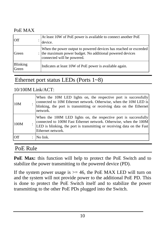#### PoE MAX

| <b>Off</b>               | At least 10W of PoE power is available to connect another PoE<br>device.                                                                                    |
|--------------------------|-------------------------------------------------------------------------------------------------------------------------------------------------------------|
| Green                    | When the power output to powered devices has reached or exceeded<br>: the maximum power budget. No additional powered devices<br>connected will be powered. |
| <b>Blinking</b><br>Green | Indicates at least 10W of PoE power is available again.                                                                                                     |

#### Ethernet port status LEDs (Ports 1~8)

#### 10/100M Link/ACT:

| 10M  | When the 10M LED lights on, the respective port is successfully<br>connected to 10M Ethernet network. Otherwise, when the 10M LED is<br>blinking, the port is transmitting or receiving data on the Ethernet<br>network.              |
|------|---------------------------------------------------------------------------------------------------------------------------------------------------------------------------------------------------------------------------------------|
| 100M | When the 100M LED lights on, the respective port is successfully<br>connected to 100M Fast Ethernet network. Otherwise, when the 100M<br>LED is blinking, the port is transmitting or receiving data on the Fast<br>Ethernet network. |
| Off  | No link.                                                                                                                                                                                                                              |

#### PoE Rule

**PoE Max:** this function will help to protect the PoE Switch and to stabilize the power transmitting to the powered device (PD).

If the system power usage is  $>= 46$ , the PoE MAX LED will turn on and the system will not provide power to the additional PoE PD. This is done to protect the PoE Switch itself and to stabilize the power transmitting to the other PoE PDs plugged into the Switch.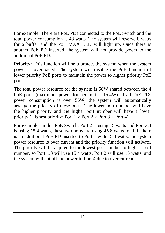For example: There are PoE PDs connected to the PoE Switch and the total power consumption is 48 watts. The system will reserve 8 watts for a buffer and the PoE MAX LED will light up. Once there is another PoE PD inserted, the system will not provide power to the additional PoE PD.

**Priority:** This function will help protect the system when the system power is overloaded. The system will disable the PoE function of lower priority PoE ports to maintain the power to higher priority PoE ports.

The total power resource for the system is 56W shared between the 4 PoE ports (maximum power for per port is 15.4W). If all PoE PDs power consumption is over 56W, the system will automatically arrange the priority of these ports. The lower port number will have the higher priority and the higher port number will have a lower priority (Highest priority: Port  $1 >$  Port  $2 >$  Port  $3 >$  Port 4).

For example: In this PoE Switch, Port 2 is using 15 watts and Port 3,4 is using 15.4 watts, these two ports are using 45.8 watts total. If there is an additional PoE PD inserted to Port 1 with 15.4 watts, the system power resource is over current and the priority function will activate. The priority will be applied to the lowest port number to highest port number, so Port 1,3 will use 15.4 watts, Port 2 will use 15 watts, and the system will cut off the power to Port 4 due to over current.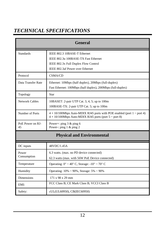## *TECHNICAL SPECIFICATIONS*

| <b>General</b>         |                                                                                                                                                      |  |  |  |  |  |  |
|------------------------|------------------------------------------------------------------------------------------------------------------------------------------------------|--|--|--|--|--|--|
| <b>Standards</b>       | IEEE 802.3 10BASE-T Ethernet<br>IEEE 802.3u 100BASE-TX Fast Ethernet<br>IEEE 802.3x Full Duplex Flow Control<br>IEEE 802.3af Power over Ethernet     |  |  |  |  |  |  |
| Protocol               | <b>CSMA/CD</b>                                                                                                                                       |  |  |  |  |  |  |
| Data Transfer Rate     | Ethernet: 10Mbps (half duplex), 20Mbps (full-duplex)<br>Fast Ethernet: 100Mbps (half duplex), 200Mbps (full-duplex)                                  |  |  |  |  |  |  |
| Topology               | <b>Star</b>                                                                                                                                          |  |  |  |  |  |  |
| <b>Network Cables</b>  | 10BASET: 2-pair UTP Cat. 3, 4, 5; up to 100m<br>100BASE-TX: 2-pair UTP Cat. 5; up to 100m                                                            |  |  |  |  |  |  |
| Number of Ports        | $4 \times 10/100$ Mbps Auto-MDIX RJ45 ports with POE enabled (port $1 \sim$ port 4)<br>$4 \times 10/100$ Mbps Auto-MDIX RJ45 ports (port 5 ~ port 8) |  |  |  |  |  |  |
| PoE Power on RJ-<br>45 | Power+: ping $3 &$ ping 6<br>Power-: ping $1 \& ping 2$                                                                                              |  |  |  |  |  |  |
|                        | <b>Physical and Environmental</b>                                                                                                                    |  |  |  |  |  |  |
| DC inputs              | 48VDC/1.45A                                                                                                                                          |  |  |  |  |  |  |
| Power<br>Consumption   | 6.3 watts. (max. no PD device connected)<br>62.3 watts (max. with 56W PoE Device connected)                                                          |  |  |  |  |  |  |
| Temperature            | Operating: $0^{\circ} \sim 40^{\circ}$ C, Storage: $-10^{\circ} \sim 70^{\circ}$ C                                                                   |  |  |  |  |  |  |
| Humidity               | Operating: $10\% \sim 90\%$ , Storage: $5\% \sim 90\%$                                                                                               |  |  |  |  |  |  |
| Dimensions             | 171 x 98 x 29 mm                                                                                                                                     |  |  |  |  |  |  |
| EMI:                   | FCC Class B, CE Mark Class B, VCCI Class B                                                                                                           |  |  |  |  |  |  |
| Safety:                | cUL(UL60950), CB(IEC60950)                                                                                                                           |  |  |  |  |  |  |